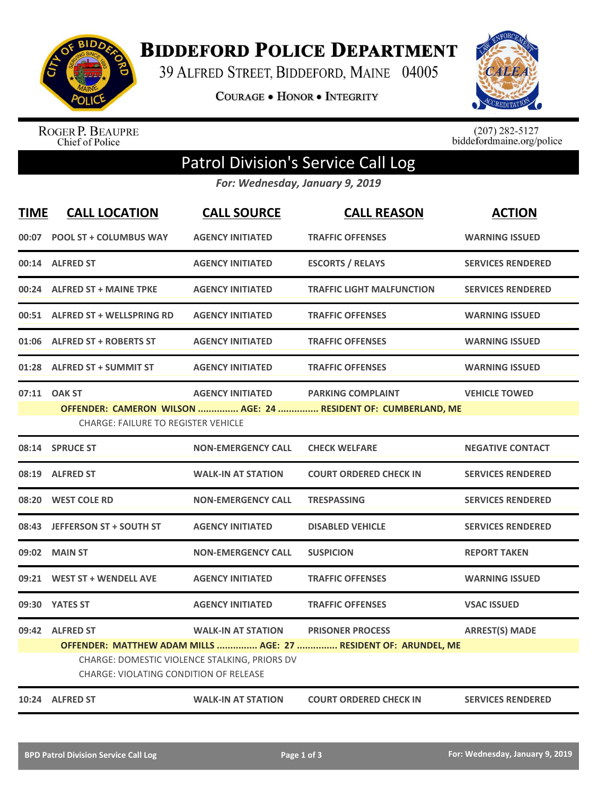

**BIDDEFORD POLICE DEPARTMENT** 

39 ALFRED STREET, BIDDEFORD, MAINE 04005

COURAGE . HONOR . INTEGRITY



ROGER P. BEAUPRE<br>Chief of Police

 $(207)$  282-5127<br>biddefordmaine.org/police

## Patrol Division's Service Call Log

*For: Wednesday, January 9, 2019*

| <b>TIME</b> | <b>CALL LOCATION</b>                                             | <b>CALL SOURCE</b>                                                         | <b>CALL REASON</b>                                                                         | <b>ACTION</b>            |
|-------------|------------------------------------------------------------------|----------------------------------------------------------------------------|--------------------------------------------------------------------------------------------|--------------------------|
| 00:07       | <b>POOL ST + COLUMBUS WAY</b>                                    | <b>AGENCY INITIATED</b>                                                    | <b>TRAFFIC OFFENSES</b>                                                                    | <b>WARNING ISSUED</b>    |
|             | 00:14 ALFRED ST                                                  | <b>AGENCY INITIATED</b>                                                    | <b>ESCORTS / RELAYS</b>                                                                    | <b>SERVICES RENDERED</b> |
|             | 00:24 ALFRED ST + MAINE TPKE                                     | <b>AGENCY INITIATED</b>                                                    | <b>TRAFFIC LIGHT MALFUNCTION</b>                                                           | <b>SERVICES RENDERED</b> |
|             | 00:51 ALFRED ST + WELLSPRING RD                                  | <b>AGENCY INITIATED</b>                                                    | <b>TRAFFIC OFFENSES</b>                                                                    | <b>WARNING ISSUED</b>    |
|             | 01:06 ALFRED ST + ROBERTS ST                                     | <b>AGENCY INITIATED</b>                                                    | <b>TRAFFIC OFFENSES</b>                                                                    | <b>WARNING ISSUED</b>    |
|             | 01:28 ALFRED ST + SUMMIT ST                                      | <b>AGENCY INITIATED</b>                                                    | <b>TRAFFIC OFFENSES</b>                                                                    | <b>WARNING ISSUED</b>    |
|             | 07:11 OAK ST<br><b>CHARGE: FAILURE TO REGISTER VEHICLE</b>       | <b>AGENCY INITIATED</b>                                                    | <b>PARKING COMPLAINT</b><br>OFFENDER: CAMERON WILSON  AGE: 24  RESIDENT OF: CUMBERLAND, ME | <b>VEHICLE TOWED</b>     |
|             | 08:14 SPRUCE ST                                                  | <b>NON-EMERGENCY CALL</b>                                                  | <b>CHECK WELFARE</b>                                                                       | <b>NEGATIVE CONTACT</b>  |
| 08:19       | <b>ALFRED ST</b>                                                 | <b>WALK-IN AT STATION</b>                                                  | <b>COURT ORDERED CHECK IN</b>                                                              | <b>SERVICES RENDERED</b> |
| 08:20       | <b>WEST COLE RD</b>                                              | <b>NON-EMERGENCY CALL</b>                                                  | <b>TRESPASSING</b>                                                                         | <b>SERVICES RENDERED</b> |
|             | 08:43 JEFFERSON ST + SOUTH ST                                    | <b>AGENCY INITIATED</b>                                                    | <b>DISABLED VEHICLE</b>                                                                    | <b>SERVICES RENDERED</b> |
| 09:02       | <b>MAIN ST</b>                                                   | <b>NON-EMERGENCY CALL</b>                                                  | <b>SUSPICION</b>                                                                           | <b>REPORT TAKEN</b>      |
|             | 09:21 WEST ST + WENDELL AVE                                      | <b>AGENCY INITIATED</b>                                                    | <b>TRAFFIC OFFENSES</b>                                                                    | <b>WARNING ISSUED</b>    |
|             | 09:30 YATES ST                                                   | <b>AGENCY INITIATED</b>                                                    | <b>TRAFFIC OFFENSES</b>                                                                    | <b>VSAC ISSUED</b>       |
|             | 09:42 ALFRED ST<br><b>CHARGE: VIOLATING CONDITION OF RELEASE</b> | <b>WALK-IN AT STATION</b><br>CHARGE: DOMESTIC VIOLENCE STALKING, PRIORS DV | <b>PRISONER PROCESS</b><br>OFFENDER: MATTHEW ADAM MILLS  AGE: 27  RESIDENT OF: ARUNDEL, ME | <b>ARREST(S) MADE</b>    |
|             | 10:24 ALFRED ST                                                  | <b>WALK-IN AT STATION</b>                                                  | <b>COURT ORDERED CHECK IN</b>                                                              | <b>SERVICES RENDERED</b> |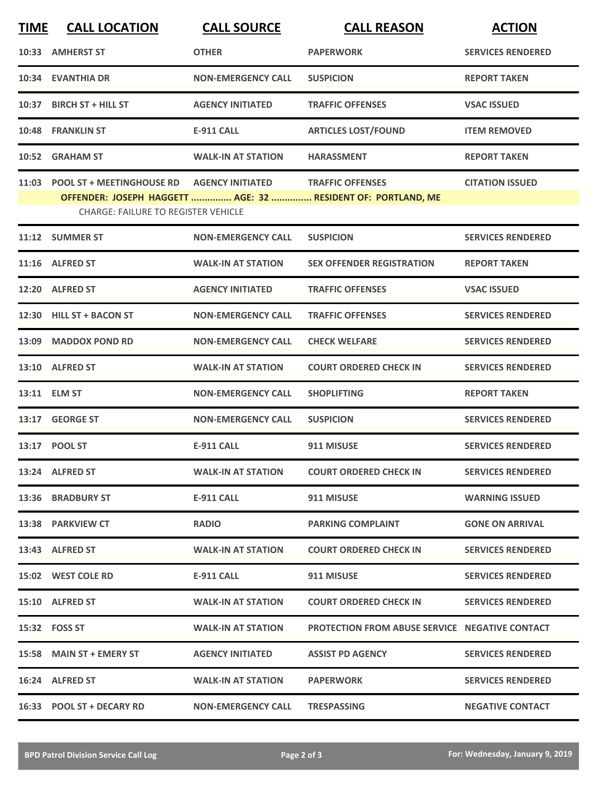| <b>TIME</b> | <b>CALL LOCATION</b>                                                                              | <b>CALL SOURCE</b>        | <b>CALL REASON</b>                                                                      | <b>ACTION</b>            |
|-------------|---------------------------------------------------------------------------------------------------|---------------------------|-----------------------------------------------------------------------------------------|--------------------------|
|             | 10:33 AMHERST ST                                                                                  | <b>OTHER</b>              | <b>PAPERWORK</b>                                                                        | <b>SERVICES RENDERED</b> |
|             | 10:34 EVANTHIA DR                                                                                 | <b>NON-EMERGENCY CALL</b> | <b>SUSPICION</b>                                                                        | <b>REPORT TAKEN</b>      |
|             | 10:37 BIRCH ST + HILL ST                                                                          | <b>AGENCY INITIATED</b>   | <b>TRAFFIC OFFENSES</b>                                                                 | <b>VSAC ISSUED</b>       |
|             | 10:48 FRANKLIN ST                                                                                 | <b>E-911 CALL</b>         | <b>ARTICLES LOST/FOUND</b>                                                              | <b>ITEM REMOVED</b>      |
|             | 10:52 GRAHAM ST                                                                                   | <b>WALK-IN AT STATION</b> | <b>HARASSMENT</b>                                                                       | <b>REPORT TAKEN</b>      |
|             | 11:03 POOL ST + MEETINGHOUSE RD    AGENCY INITIATED<br><b>CHARGE: FAILURE TO REGISTER VEHICLE</b> |                           | <b>TRAFFIC OFFENSES</b><br>OFFENDER: JOSEPH HAGGETT  AGE: 32  RESIDENT OF: PORTLAND, ME | <b>CITATION ISSUED</b>   |
|             | 11:12 SUMMER ST                                                                                   | <b>NON-EMERGENCY CALL</b> | <b>SUSPICION</b>                                                                        | <b>SERVICES RENDERED</b> |
|             | 11:16 ALFRED ST                                                                                   | <b>WALK-IN AT STATION</b> | <b>SEX OFFENDER REGISTRATION</b>                                                        | <b>REPORT TAKEN</b>      |
|             | 12:20 ALFRED ST                                                                                   | <b>AGENCY INITIATED</b>   | <b>TRAFFIC OFFENSES</b>                                                                 | <b>VSAC ISSUED</b>       |
|             | 12:30 HILL ST + BACON ST                                                                          | <b>NON-EMERGENCY CALL</b> | <b>TRAFFIC OFFENSES</b>                                                                 | <b>SERVICES RENDERED</b> |
| 13:09       | <b>MADDOX POND RD</b>                                                                             | <b>NON-EMERGENCY CALL</b> | <b>CHECK WELFARE</b>                                                                    | <b>SERVICES RENDERED</b> |
|             | 13:10 ALFRED ST                                                                                   | <b>WALK-IN AT STATION</b> | <b>COURT ORDERED CHECK IN</b>                                                           | <b>SERVICES RENDERED</b> |
|             | 13:11 ELM ST                                                                                      | <b>NON-EMERGENCY CALL</b> | <b>SHOPLIFTING</b>                                                                      | <b>REPORT TAKEN</b>      |
|             | 13:17 GEORGE ST                                                                                   | <b>NON-EMERGENCY CALL</b> | <b>SUSPICION</b>                                                                        | <b>SERVICES RENDERED</b> |
|             | 13:17 POOL ST                                                                                     | <b>E-911 CALL</b>         | 911 MISUSE                                                                              | <b>SERVICES RENDERED</b> |
|             | 13:24 ALFRED ST                                                                                   | <b>WALK-IN AT STATION</b> | <b>COURT ORDERED CHECK IN</b>                                                           | <b>SERVICES RENDERED</b> |
|             | 13:36 BRADBURY ST                                                                                 | E-911 CALL                | 911 MISUSE                                                                              | <b>WARNING ISSUED</b>    |
|             | 13:38 PARKVIEW CT                                                                                 | <b>RADIO</b>              | <b>PARKING COMPLAINT</b>                                                                | <b>GONE ON ARRIVAL</b>   |
|             | 13:43 ALFRED ST                                                                                   | <b>WALK-IN AT STATION</b> | <b>COURT ORDERED CHECK IN</b>                                                           | <b>SERVICES RENDERED</b> |
|             | 15:02 WEST COLE RD                                                                                | E-911 CALL                | 911 MISUSE                                                                              | <b>SERVICES RENDERED</b> |
|             | 15:10 ALFRED ST                                                                                   | <b>WALK-IN AT STATION</b> | <b>COURT ORDERED CHECK IN</b>                                                           | <b>SERVICES RENDERED</b> |
|             | 15:32 FOSS ST                                                                                     | <b>WALK-IN AT STATION</b> | <b>PROTECTION FROM ABUSE SERVICE NEGATIVE CONTACT</b>                                   |                          |
|             | 15:58 MAIN ST + EMERY ST                                                                          | <b>AGENCY INITIATED</b>   | <b>ASSIST PD AGENCY</b>                                                                 | <b>SERVICES RENDERED</b> |
|             | 16:24 ALFRED ST                                                                                   | <b>WALK-IN AT STATION</b> | <b>PAPERWORK</b>                                                                        | <b>SERVICES RENDERED</b> |
|             | 16:33 POOL ST + DECARY RD                                                                         | <b>NON-EMERGENCY CALL</b> | <b>TRESPASSING</b>                                                                      | <b>NEGATIVE CONTACT</b>  |